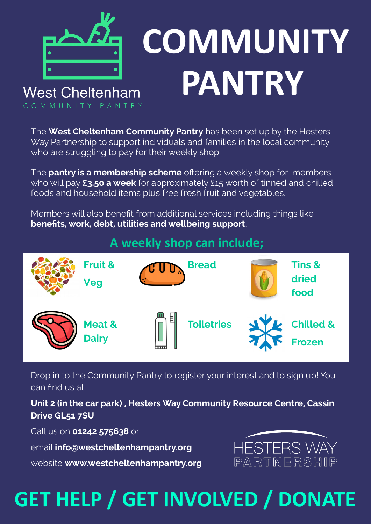

# **PANTRY COMMUNITY**

COMMUNITY PANTRY

The **West Cheltenham Community Pantry** has been set up by the Hesters Way Partnership to support individuals and families in the local community who are struggling to pay for their weekly shop.

The **pantry is a membership scheme** offering a weekly shop for members who will pay **£3.50 a week** for approximately £15 worth of tinned and chilled foods and household items plus free fresh fruit and vegetables.

Members will also benefit from additional services including things like **benefits, work, debt, utilities and wellbeing support**.

#### **A weekly shop can include;**



Drop in to the Community Pantry to register your interest and to sign up! You can find us at

**Unit 2 (in the car park) , Hesters Way Community Resource Centre, Cassin Drive GL51 7SU**

Call us on **01242 575638** or

email **info@westcheltenhampantry.org**

website **www.westcheltenhampantry.org**



## **GET HELP / GET INVOLVED / DONATE**